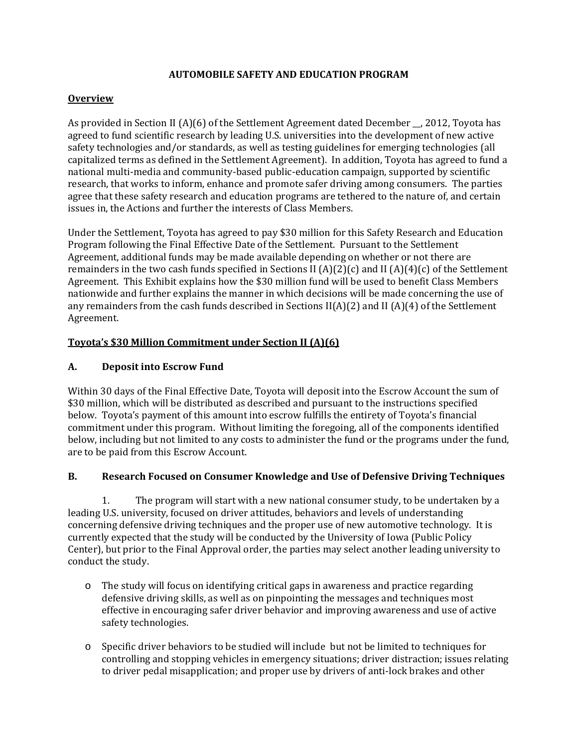### **AUTOMOBILE SAFETY AND EDUCATION PROGRAM**

## **Overview**

As provided in Section II (A)(6) of the Settlement Agreement dated December  $\overline{\phantom{a}}$ , 2012, Toyota has agreed to fund scientific research by leading U.S. universities into the development of new active safety technologies and/or standards, as well as testing guidelines for emerging technologies (all capitalized terms as defined in the Settlement Agreement). In addition, Toyota has agreed to fund a national multi-media and community-based public-education campaign, supported by scientific research, that works to inform, enhance and promote safer driving among consumers. The parties agree that these safety research and education programs are tethered to the nature of, and certain issues in, the Actions and further the interests of Class Members.

Under the Settlement, Toyota has agreed to pay \$30 million for this Safety Research and Education Program following the Final Effective Date of the Settlement. Pursuant to the Settlement Agreement, additional funds may be made available depending on whether or not there are remainders in the two cash funds specified in Sections II  $(A)(2)(c)$  and II  $(A)(4)(c)$  of the Settlement Agreement. This Exhibit explains how the \$30 million fund will be used to benefit Class Members nationwide and further explains the manner in which decisions will be made concerning the use of any remainders from the cash funds described in Sections  $II(A)(2)$  and  $II(A)(4)$  of the Settlement Agreement. 

#### **Toyota's \$30 Million Commitment under Section II (A)(6)**

#### **A. Deposit into Escrow Fund**

Within 30 days of the Final Effective Date, Toyota will deposit into the Escrow Account the sum of \$30 million, which will be distributed as described and pursuant to the instructions specified below. Toyota's payment of this amount into escrow fulfills the entirety of Toyota's financial commitment under this program. Without limiting the foregoing, all of the components identified below, including but not limited to any costs to administer the fund or the programs under the fund, are to be paid from this Escrow Account.

## **B. Research Focused on Consumer Knowledge and Use of Defensive Driving Techniques**

1. The program will start with a new national consumer study, to be undertaken by a leading U.S. university, focused on driver attitudes, behaviors and levels of understanding concerning defensive driving techniques and the proper use of new automotive technology. It is currently expected that the study will be conducted by the University of Iowa (Public Policy Center), but prior to the Final Approval order, the parties may select another leading university to conduct the study.

- $\circ$  The study will focus on identifying critical gaps in awareness and practice regarding defensive driving skills, as well as on pinpointing the messages and techniques most effective in encouraging safer driver behavior and improving awareness and use of active safety technologies.
- $\circ$  Specific driver behaviors to be studied will include but not be limited to techniques for controlling and stopping vehicles in emergency situations; driver distraction; issues relating to driver pedal misapplication; and proper use by drivers of anti-lock brakes and other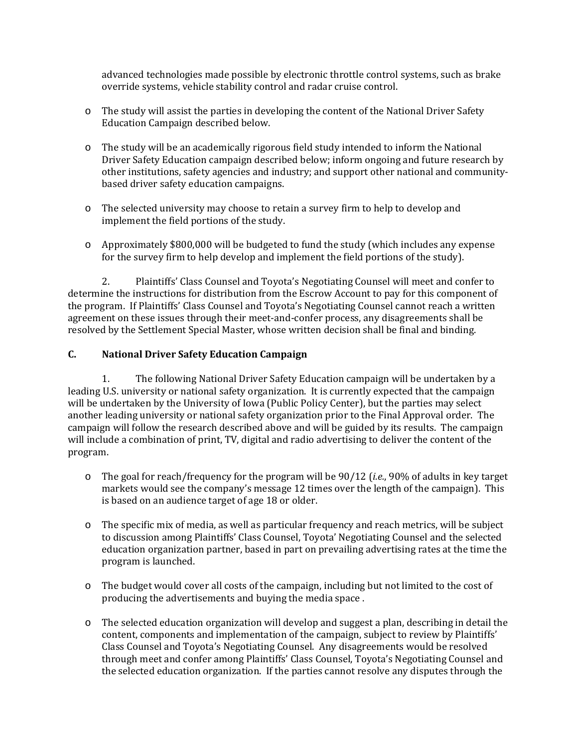advanced technologies made possible by electronic throttle control systems, such as brake override systems, vehicle stability control and radar cruise control.

- $\circ$  The study will assist the parties in developing the content of the National Driver Safety Education Campaign described below.
- $\circ$  The study will be an academically rigorous field study intended to inform the National Driver Safety Education campaign described below; inform ongoing and future research by other institutions, safety agencies and industry; and support other national and communitybased driver safety education campaigns.
- $\circ$  The selected university may choose to retain a survey firm to help to develop and implement the field portions of the study.
- $\circ$  Approximately \$800,000 will be budgeted to fund the study (which includes any expense for the survey firm to help develop and implement the field portions of the study).

2. Plaintiffs' Class Counsel and Toyota's Negotiating Counsel will meet and confer to determine the instructions for distribution from the Escrow Account to pay for this component of the program. If Plaintiffs' Class Counsel and Toyota's Negotiating Counsel cannot reach a written agreement on these issues through their meet-and-confer process, any disagreements shall be resolved by the Settlement Special Master, whose written decision shall be final and binding.

## **C. National Driver Safety Education Campaign**

1. The following National Driver Safety Education campaign will be undertaken by a leading U.S. university or national safety organization. It is currently expected that the campaign will be undertaken by the University of Iowa (Public Policy Center), but the parties may select another leading university or national safety organization prior to the Final Approval order. The campaign will follow the research described above and will be guided by its results. The campaign will include a combination of print, TV, digital and radio advertising to deliver the content of the program. 

- $\circ$  The goal for reach/frequency for the program will be 90/12 (*i.e.*, 90% of adults in key target markets would see the company's message 12 times over the length of the campaign). This is based on an audience target of age 18 or older.
- o The specific mix of media, as well as particular frequency and reach metrics, will be subject to discussion among Plaintiffs' Class Counsel, Toyota' Negotiating Counsel and the selected education organization partner, based in part on prevailing advertising rates at the time the program is launched.
- $\circ$  The budget would cover all costs of the campaign, including but not limited to the cost of producing the advertisements and buying the media space.
- $\circ$  The selected education organization will develop and suggest a plan, describing in detail the content, components and implementation of the campaign, subject to review by Plaintiffs' Class Counsel and Toyota's Negotiating Counsel. Any disagreements would be resolved through meet and confer among Plaintiffs' Class Counsel, Toyota's Negotiating Counsel and the selected education organization. If the parties cannot resolve any disputes through the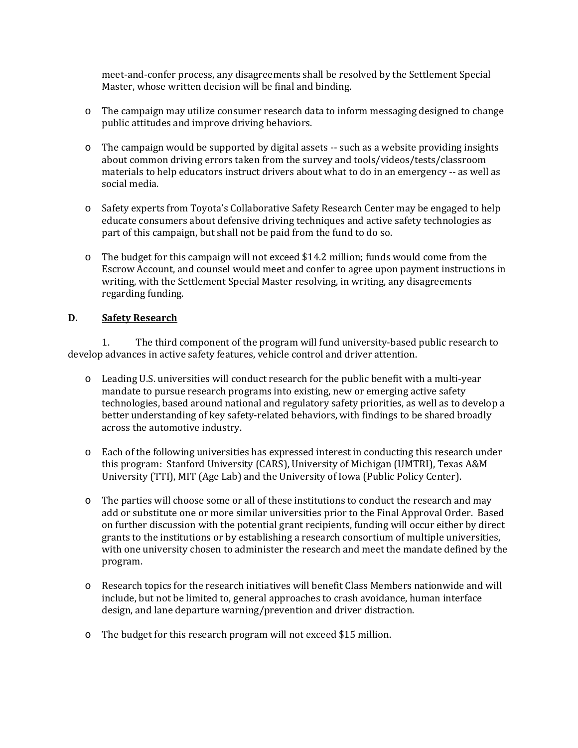meet-and-confer process, any disagreements shall be resolved by the Settlement Special Master, whose written decision will be final and binding.

- $\circ$  The campaign may utilize consumer research data to inform messaging designed to change public attitudes and improve driving behaviors.
- $\circ$  The campaign would be supported by digital assets -- such as a website providing insights about common driving errors taken from the survey and tools/videos/tests/classroom materials to help educators instruct drivers about what to do in an emergency -- as well as social media.
- $\circ$  Safety experts from Toyota's Collaborative Safety Research Center may be engaged to help educate consumers about defensive driving techniques and active safety technologies as part of this campaign, but shall not be paid from the fund to do so.
- $\circ$  The budget for this campaign will not exceed \$14.2 million; funds would come from the Escrow Account, and counsel would meet and confer to agree upon payment instructions in writing, with the Settlement Special Master resolving, in writing, any disagreements regarding funding.

#### **D. Safety Research**

1. The third component of the program will fund university-based public research to develop advances in active safety features, vehicle control and driver attention.

- Leading U.S. universities will conduct research for the public benefit with a multi-year mandate to pursue research programs into existing, new or emerging active safety technologies, based around national and regulatory safety priorities, as well as to develop a better understanding of key safety-related behaviors, with findings to be shared broadly across the automotive industry.
- o Each of the following universities has expressed interest in conducting this research under this program: Stanford University (CARS), University of Michigan (UMTRI), Texas A&M University (TTI), MIT (Age Lab) and the University of Iowa (Public Policy Center).
- $\circ$  The parties will choose some or all of these institutions to conduct the research and may add or substitute one or more similar universities prior to the Final Approval Order. Based on further discussion with the potential grant recipients, funding will occur either by direct grants to the institutions or by establishing a research consortium of multiple universities, with one university chosen to administer the research and meet the mandate defined by the program.
- $\circ$  Research topics for the research initiatives will benefit Class Members nationwide and will include, but not be limited to, general approaches to crash avoidance, human interface design, and lane departure warning/prevention and driver distraction.
- $\circ$  The budget for this research program will not exceed \$15 million.